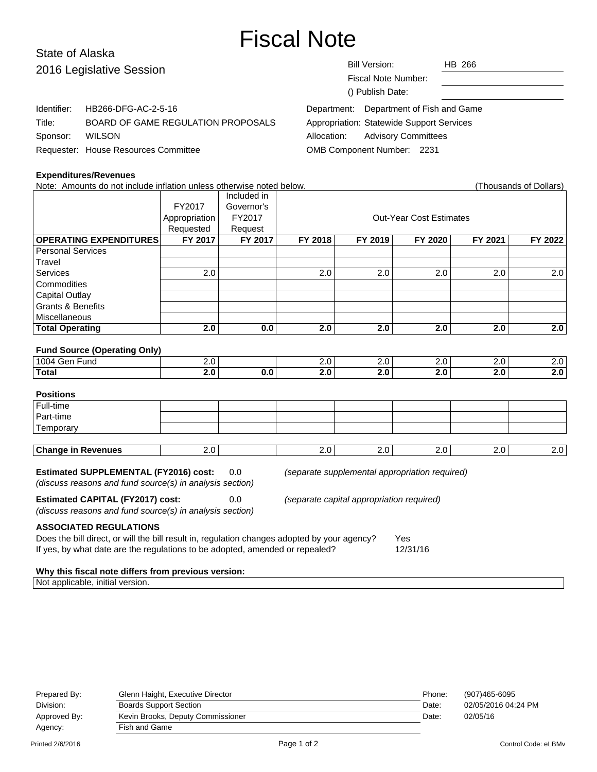# Fiscal Note

# State of Alaska 2016 Legislati<sup>®</sup>

| 2016 Legislative Session |                                      | Bill Version:<br>HB 266                          |  |
|--------------------------|--------------------------------------|--------------------------------------------------|--|
|                          |                                      | Fiscal Note Number:                              |  |
|                          |                                      | () Publish Date:                                 |  |
| Identifier:              | HB266-DFG-AC-2-5-16                  | Department: Department of Fish and Game          |  |
| Title:                   | BOARD OF GAME REGULATION PROPOSALS   | <b>Appropriation: Statewide Support Services</b> |  |
| Sponsor:                 | <b>WILSON</b>                        | <b>Advisory Committees</b><br>Allocation:        |  |
|                          | Requester: House Resources Committee | OMB Component Number: 2231                       |  |

# **Expenditures/Revenues**

Note: Amounts do not include inflation unless otherwise noted below. (Thousands of Dollars) Included in FY2017 Governor's Appropriation FY2017 | COUL-Year Cost Estimates Requested | Request **OPERATING EXPENDITURES FY 2017 FY 2017 FY 2018 FY 2019 FY 2020 FY 2021 FY 2022** Personal Services **Travel** Services | 2.0 | | 2.0 | 2.0 | 2.0 | 2.0 | 2.0 **Commodities** Capital Outlay Grants & Benefits **Miscellaneous Total Operating 2.0 0.0 2.0 2.0 2.0 2.0 2.0 Fund Source (Operating Only)** 1004 Gen Fund 1004 Gen Fund 1004 Gen Fund 1004 Gen Fund 2.0 2.0 2.0 2.0 2.0 2.0 2.0 **Total 2.0 0.0 2.0 2.0 2.0 2.0 2.0 Positions** Full-time Part-time **Temporary Change in Revenues** 2.0 2.0 2.0 2.0 2.0 2.0 2.0 2.0 2.0 **Estimated SUPPLEMENTAL (FY2016) cost:** 0.0 (separate supplemental appropriation required) (discuss reasons and fund source(s) in analysis section) **Estimated CAPITAL (FY2017) cost:** 0.0 (separate capital appropriation required) (discuss reasons and fund source(s) in analysis section) **ASSOCIATED REGULATIONS** Does the bill direct, or will the bill result in, regulation changes adopted by your agency? Yes If yes, by what date are the regulations to be adopted, amended or repealed? 12/31/16

#### **Why this fiscal note differs from previous version:**

Not applicable, initial version.

| Prepared By: | Glenn Haight, Executive Director  | Phone: | (907)465-6095       |
|--------------|-----------------------------------|--------|---------------------|
| Division:    | <b>Boards Support Section</b>     | Date:  | 02/05/2016 04:24 PM |
| Approved By: | Kevin Brooks, Deputy Commissioner | Date:  | 02/05/16            |
| Agency:      | Fish and Game                     |        |                     |
|              |                                   |        |                     |